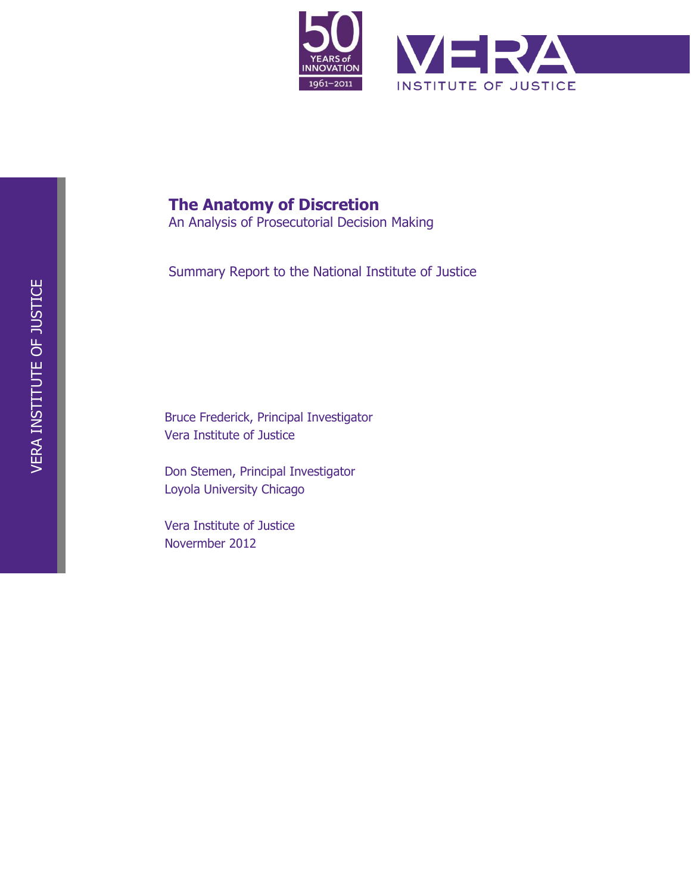**The author(s) shown below used Federal funds provided by the U.S. Department of Justice and prepared the following final report:**

| <b>Document Title:</b> | The Anatomy of Discretion: An Analysis of<br><b>Prosecutorial Decision Making - Summary</b><br><b>Report</b> |
|------------------------|--------------------------------------------------------------------------------------------------------------|
| <b>Author:</b>         | <b>Bruce Frederick, Don Stemen</b>                                                                           |
| <b>Document No.:</b>   | 240335                                                                                                       |
| Date Received:         | November 2012                                                                                                |
| <b>Award Number:</b>   | 2009-IJ-CX-0040                                                                                              |

**This report has not been published by the U.S. Department of Justice. To provide better customer service, NCJRS has made this Federallyfunded grant final report available electronically in addition to traditional paper copies.** 

> **Opinions or points of view expressed are those of the author(s) and do not necessarily reflect the official position or policies of the U.S. Department of Justice.**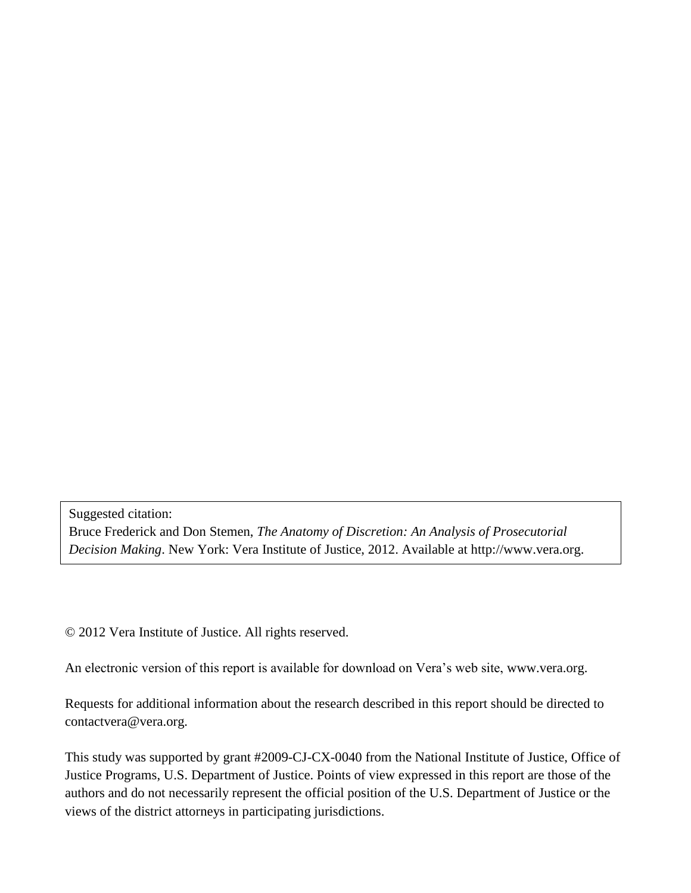

## **The Anatomy of Discretion**

An Analysis of Prosecutorial Decision Making

Summary Report to the National Institute of Justice

Bruce Frederick, Principal Investigator Vera Institute of Justice

Don Stemen, Principal Investigator Loyola University Chicago

Vera Institute of Justice Novermber 2012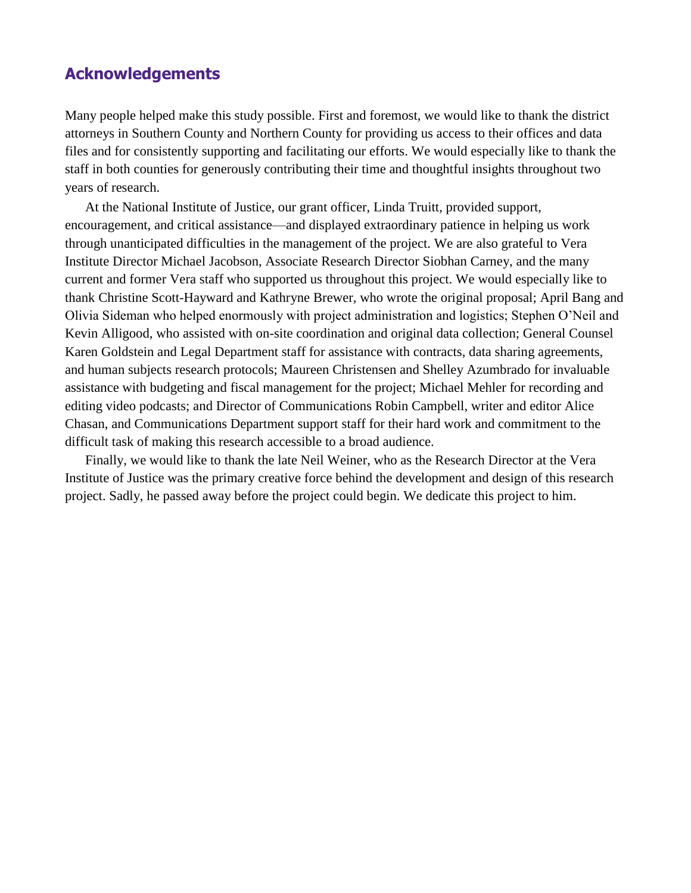Suggested citation: Bruce Frederick and Don Stemen, *The Anatomy of Discretion: An Analysis of Prosecutorial Decision Making*. New York: Vera Institute of Justice, 2012. Available at http://www.vera.org.

© 2012 Vera Institute of Justice. All rights reserved.

An electronic version of this report is available for download on Vera's web site, www.vera.org.

Requests for additional information about the research described in this report should be directed to contactvera@vera.org.

This study was supported by grant #2009-IJ-CX-0040 from the National Institute of Justice, Office of Justice Programs, U.S. Department of Justice. Points of view expressed in this report are those of the authors and do not necessarily represent the official position of the U.S. Department of Justice or the views of the district attorneys in participating jurisdictions.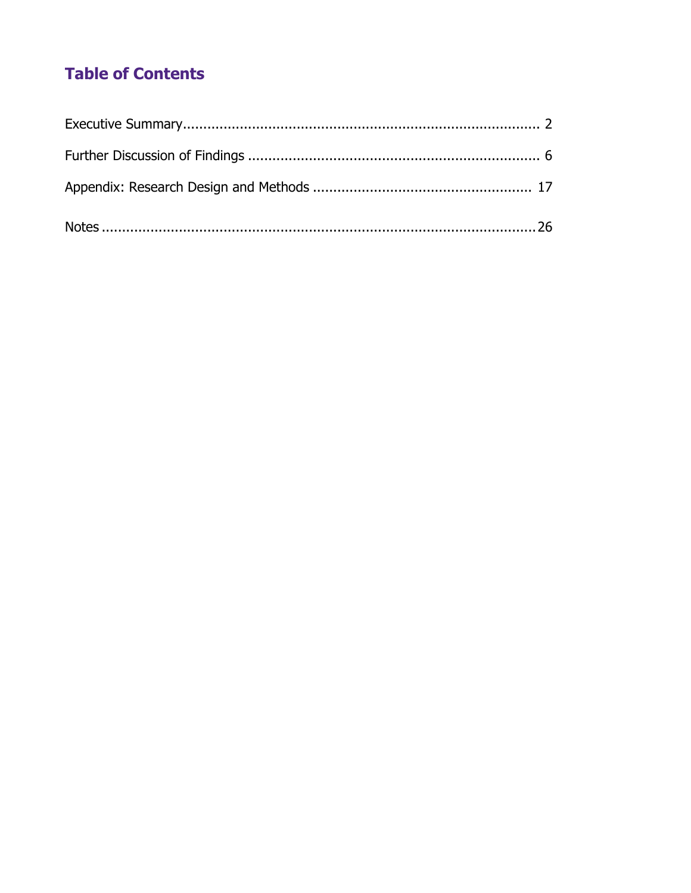## **Acknowledgements**

Many people helped make this study possible. First and foremost, we would like to thank the district attorneys in Southern County and Northern County for providing us access to their offices and data files and for consistently supporting and facilitating our efforts. We would especially like to thank the staff in both counties for generously contributing their time and thoughtful insights throughout two years of research.

At the National Institute of Justice, our grant officer, Linda Truitt, provided support, encouragement, and critical assistance—and displayed extraordinary patience in helping us work through unanticipated difficulties in the management of the project. We are also grateful to Vera Institute Director Michael Jacobson, Associate Research Director Siobhan Carney, and the many current and former Vera staff who supported us throughout this project. We would especially like to thank Christine Scott-Hayward and Kathryne Brewer, who wrote the original proposal; April Bang and Olivia Sideman who helped enormously with project administration and logistics; Stephen O'Neil and Kevin Alligood, who assisted with on-site coordination and original data collection; General Counsel Karen Goldstein and Legal Department staff for assistance with contracts, data sharing agreements, and human subjects research protocols; Maureen Christensen and Shelley Azumbrado for invaluable assistance with budgeting and fiscal management for the project; Michael Mehler for recording and editing video podcasts; and Director of Communications Robin Campbell, writer and editor Alice Chasan, and Communications Department support staff for their hard work and commitment to the difficult task of making this research accessible to a broad audience.

Finally, we would like to thank the late Neil Weiner, who as the Research Director at the Vera Institute of Justice was the primary creative force behind the development and design of this research project. Sadly, he passed away before the project could begin. We dedicate this project to him.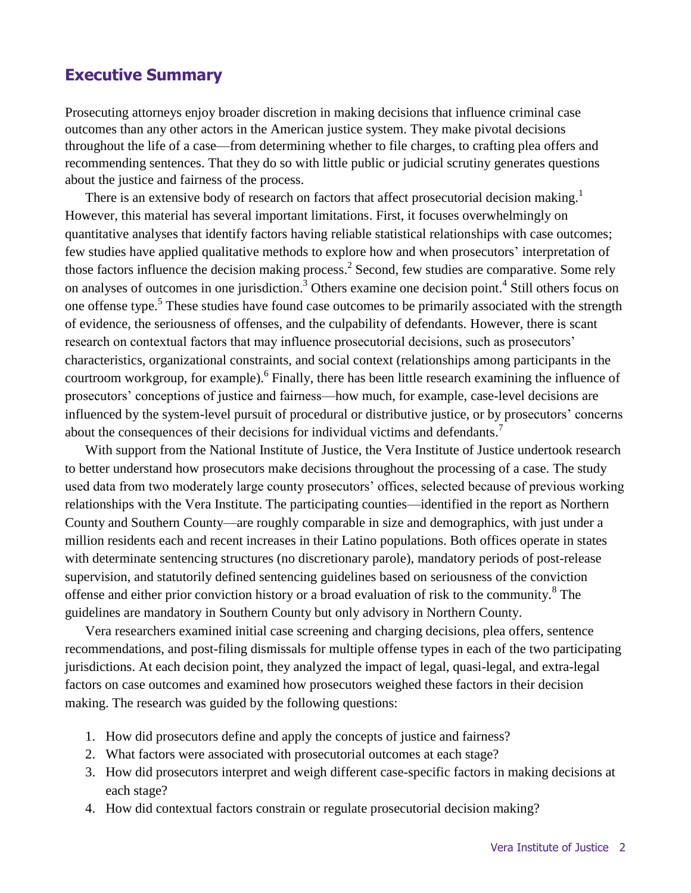# **Table of Contents**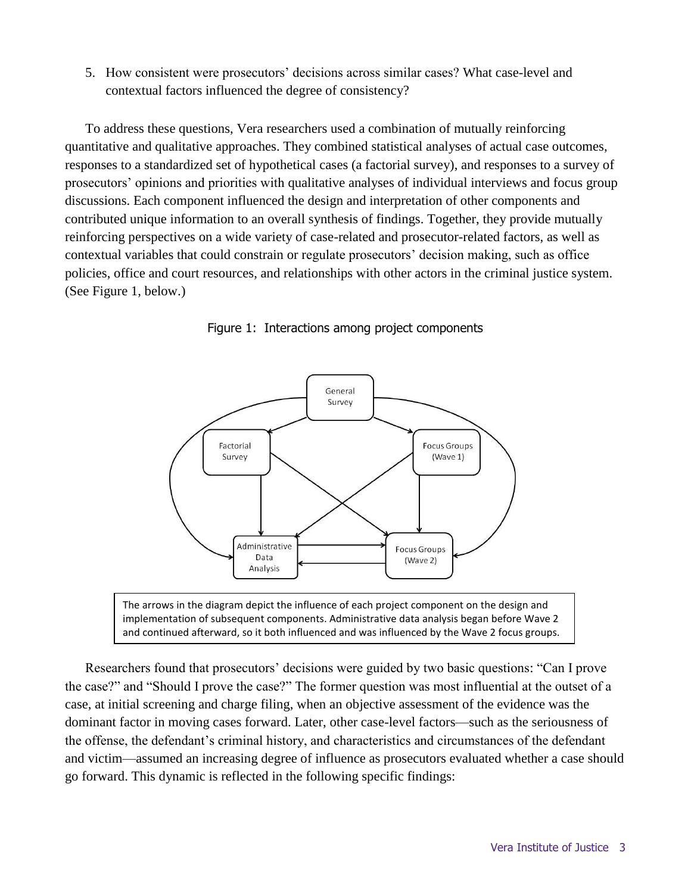## **Executive Summary**

Prosecuting attorneys enjoy broader discretion in making decisions that influence criminal case outcomes than any other actors in the American justice system. They make pivotal decisions throughout the life of a case—from determining whether to file charges, to crafting plea offers and recommending sentences. That they do so with little public or judicial scrutiny generates questions about the justice and fairness of the process.

There is an extensive body of research on factors that affect prosecutorial decision making.<sup>1</sup> However, this material has several important limitations. First, it focuses overwhelmingly on quantitative analyses that identify factors having reliable statistical relationships with case outcomes; few studies have applied qualitative methods to explore how and when prosecutors' interpretation of those factors influence the decision making process.<sup>2</sup> Second, few studies are comparative. Some rely on analyses of outcomes in one jurisdiction.<sup>3</sup> Others examine one decision point.<sup>4</sup> Still others focus on one offense type.<sup>5</sup> These studies have found case outcomes to be primarily associated with the strength of evidence, the seriousness of offenses, and the culpability of defendants. However, there is scant research on contextual factors that may influence prosecutorial decisions, such as prosecutors' characteristics, organizational constraints, and social context (relationships among participants in the courtroom workgroup, for example). <sup>6</sup> Finally, there has been little research examining the influence of prosecutors' conceptions of justice and fairness—how much, for example, case-level decisions are influenced by the system-level pursuit of procedural or distributive justice, or by prosecutors' concerns about the consequences of their decisions for individual victims and defendants.<sup>7</sup>

With support from the National Institute of Justice, the Vera Institute of Justice undertook research to better understand how prosecutors make decisions throughout the processing of a case. The study used data from two moderately large county prosecutors' offices, selected because of previous working relationships with the Vera Institute. The participating counties—identified in the report as Northern County and Southern County—are roughly comparable in size and demographics, with just under a million residents each and recent increases in their Latino populations. Both offices operate in states with determinate sentencing structures (no discretionary parole), mandatory periods of post-release supervision, and statutorily defined sentencing guidelines based on seriousness of the conviction offense and either prior conviction history or a broad evaluation of risk to the community.<sup>8</sup> The guidelines are mandatory in Southern County but only advisory in Northern County.

Vera researchers examined initial case screening and charging decisions, plea offers, sentence recommendations, and post-filing dismissals for multiple offense types in each of the two participating jurisdictions. At each decision point, they analyzed the impact of legal, quasi-legal, and extra-legal factors on case outcomes and examined how prosecutors weighed these factors in their decision making. The research was guided by the following questions:

- 1. How did prosecutors define and apply the concepts of justice and fairness?
- 2. What factors were associated with prosecutorial outcomes at each stage?
- 3. How did prosecutors interpret and weigh different case-specific factors in making decisions at each stage?
- 4. How did contextual factors constrain or regulate prosecutorial decision making?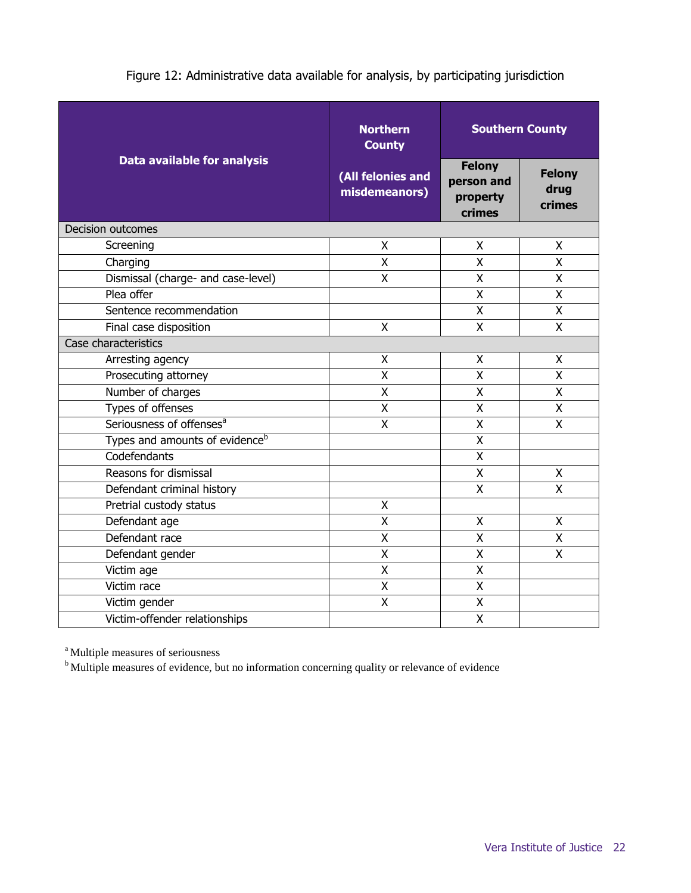County function as office managers, but do not act as intermediaries between unit managers and the district attorney. At the time the study was conducted, the district attorney in Southern County had been in office for more than two decades and had followed a fairly traditional prosecution model.

### **Administrative data**

The analyses of actual case outcomes relied on administrative case management data maintained by each participating office. The two offices maintained different subsets of case management data, which introduced some differences in the types of cases and decision points the study examined (See Figure 12).

Analyses of automated case management data in Northern County examined a total of 76,721 felony and misdemeanor cases involving 110,437 charges screened by the office between January 1, 2009 and June 16, 2011. Analyses of automated case management data for felony drug cases in Southern County examined a total of 4,890 cases involving 12,224 charges screened by the office between May 1, 2007 and July 31, 2009. The automated information on felony drug cases in Southern County was supplemented by a review of paper case files for a sample of 508 felony person cases and 658 felony property cases screened by the office between January 1, 2007 and June 30, 2007.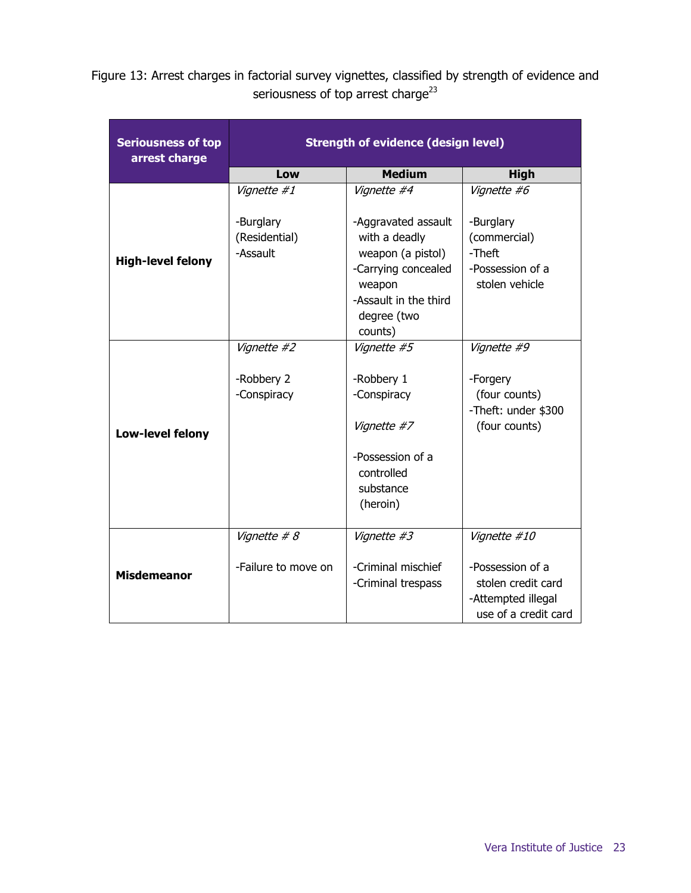|                                            | <b>Northern</b><br><b>County</b>   | <b>Southern County</b>                            |                                 |
|--------------------------------------------|------------------------------------|---------------------------------------------------|---------------------------------|
| <b>Data available for analysis</b>         | (All felonies and<br>misdemeanors) | <b>Felony</b><br>person and<br>property<br>crimes | <b>Felony</b><br>drug<br>crimes |
| <b>Decision outcomes</b>                   |                                    |                                                   |                                 |
| Screening                                  | X                                  | X                                                 | X                               |
| Charging                                   | X                                  | X                                                 | X                               |
| Dismissal (charge- and case-level)         | X                                  | X                                                 | X                               |
| Plea offer                                 |                                    | X                                                 | X                               |
| Sentence recommendation                    |                                    | X                                                 | X                               |
| Final case disposition                     | X                                  | X                                                 | X                               |
| Case characteristics                       |                                    |                                                   |                                 |
| Arresting agency                           | X                                  | X                                                 | X                               |
| Prosecuting attorney                       | $\overline{\mathsf{x}}$            | $\overline{X}$                                    | $\overline{\mathsf{x}}$         |
| Number of charges                          | X                                  | X                                                 | X                               |
| Types of offenses                          | X                                  | X                                                 | X                               |
| Seriousness of offenses <sup>a</sup>       | Χ                                  | X                                                 | X                               |
| Types and amounts of evidence <sup>b</sup> |                                    | X                                                 |                                 |
| Codefendants                               |                                    | X                                                 |                                 |
| Reasons for dismissal                      |                                    | X                                                 | X                               |
| Defendant criminal history                 |                                    | $\mathsf{X}$                                      | X                               |
| Pretrial custody status                    | Χ                                  |                                                   |                                 |
| Defendant age                              | X                                  | X                                                 | X                               |
| Defendant race                             | $\overline{\mathsf{x}}$            | $\overline{X}$                                    | $\overline{\mathsf{x}}$         |
| Defendant gender                           | X                                  | X                                                 | X                               |
| Victim age                                 | X                                  | X                                                 |                                 |
| Victim race                                | X                                  | X                                                 |                                 |
| Victim gender                              | $\overline{\mathsf{x}}$            | $\overline{X}$                                    |                                 |
| Victim-offender relationships              |                                    | X                                                 |                                 |

### Figure 12: Administrative data available for analysis, by participating jurisdiction

<sup>a</sup> Multiple measures of seriousness

b Multiple measures of evidence, but no information concerning quality or relevance of evidence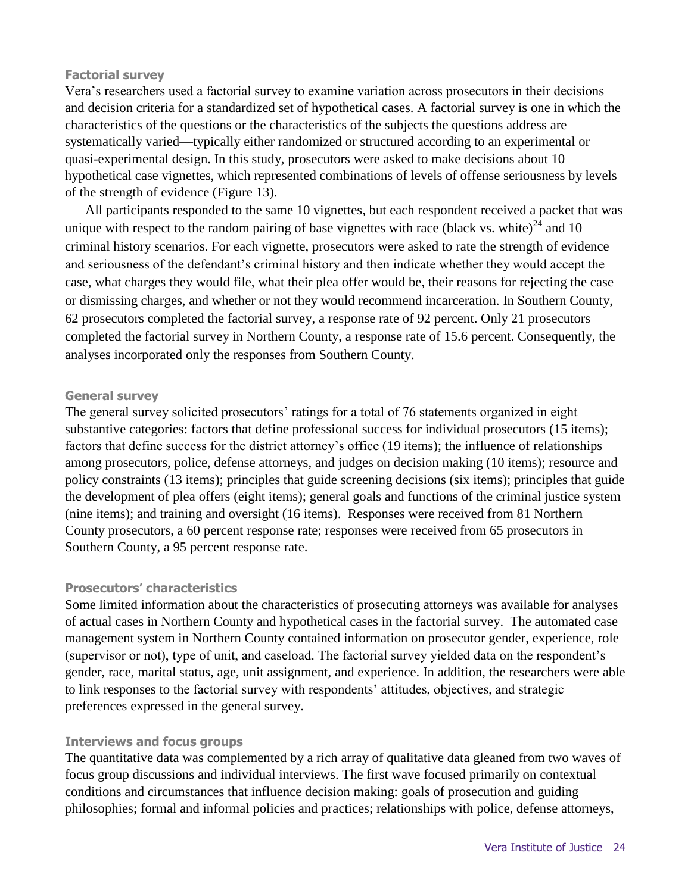Figure 13: Arrest charges in factorial survey vignettes, classified by strength of evidence and seriousness of top arrest charge $^{23}$ 

| <b>Seriousness of top</b><br>arrest charge | <b>Strength of evidence (design level)</b> |                                                                                                                                               |                                                                                      |  |
|--------------------------------------------|--------------------------------------------|-----------------------------------------------------------------------------------------------------------------------------------------------|--------------------------------------------------------------------------------------|--|
|                                            | Low                                        | <b>Medium</b>                                                                                                                                 | <b>High</b>                                                                          |  |
| <b>High-level felony</b>                   | Vignette #1                                | Vignette #4                                                                                                                                   | Vignette #6                                                                          |  |
|                                            | -Burglary<br>(Residential)<br>-Assault     | -Aggravated assault<br>with a deadly<br>weapon (a pistol)<br>-Carrying concealed<br>weapon<br>-Assault in the third<br>degree (two<br>counts) | -Burglary<br>(commercial)<br>-Theft<br>-Possession of a<br>stolen vehicle            |  |
|                                            | Vignette #2                                | Vignette #5                                                                                                                                   | Vignette #9                                                                          |  |
| Low-level felony                           | -Robbery 2<br>-Conspiracy                  | -Robbery 1<br>-Conspiracy                                                                                                                     | -Forgery<br>(four counts)<br>-Theft: under \$300                                     |  |
|                                            |                                            | Vignette #7<br>-Possession of a                                                                                                               | (four counts)                                                                        |  |
|                                            |                                            | controlled<br>substance<br>(heroin)                                                                                                           |                                                                                      |  |
|                                            | Vignette # 8                               | Vignette #3                                                                                                                                   | Vignette #10                                                                         |  |
| <b>Misdemeanor</b>                         | -Failure to move on                        | -Criminal mischief<br>-Criminal trespass                                                                                                      | -Possession of a<br>stolen credit card<br>-Attempted illegal<br>use of a credit card |  |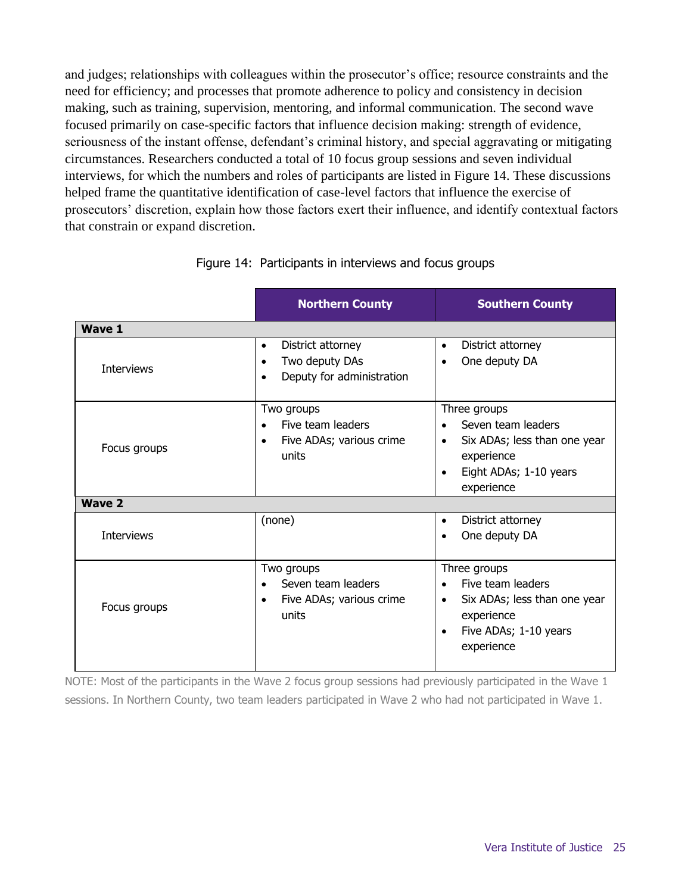#### **Factorial survey**

Vera's researchers used a factorial survey to examine variation across prosecutors in their decisions and decision criteria for a standardized set of hypothetical cases. A factorial survey is one in which the characteristics of the questions or the characteristics of the subjects the questions address are systematically varied—typically either randomized or structured according to an experimental or quasi-experimental design. In this study, prosecutors were asked to make decisions about 10 hypothetical case vignettes, which represented combinations of levels of offense seriousness by levels of the strength of evidence (Figure 13).

All participants responded to the same 10 vignettes, but each respondent received a packet that was unique with respect to the random pairing of base vignettes with race (black vs. white) $^{24}$  and 10 criminal history scenarios. For each vignette, prosecutors were asked to rate the strength of evidence and seriousness of the defendant's criminal history and then indicate whether they would accept the case, what charges they would file, what their plea offer would be, their reasons for rejecting the case or dismissing charges, and whether or not they would recommend incarceration. In Southern County, 62 prosecutors completed the factorial survey, a response rate of 92 percent. Only 21 prosecutors completed the factorial survey in Northern County, a response rate of 15.6 percent. Consequently, the analyses incorporated only the responses from Southern County.

#### **General survey**

The general survey solicited prosecutors' ratings for a total of 76 statements organized in eight substantive categories: factors that define professional success for individual prosecutors (15 items); factors that define success for the district attorney's office (19 items); the influence of relationships among prosecutors, police, defense attorneys, and judges on decision making (10 items); resource and policy constraints (13 items); principles that guide screening decisions (six items); principles that guide the development of plea offers (eight items); general goals and functions of the criminal justice system (nine items); and training and oversight (16 items). Responses were received from 81 Northern County prosecutors, a 60 percent response rate; responses were received from 65 prosecutors in Southern County, a 95 percent response rate.

#### **Prosecutors' characteristics**

Some limited information about the characteristics of prosecuting attorneys was available for analyses of actual cases in Northern County and hypothetical cases in the factorial survey. The automated case management system in Northern County contained information on prosecutor gender, experience, role (supervisor or not), type of unit, and caseload. The factorial survey yielded data on the respondent's gender, race, marital status, age, unit assignment, and experience. In addition, the researchers were able to link responses to the factorial survey with respondents' attitudes, objectives, and strategic preferences expressed in the general survey.

#### **Interviews and focus groups**

The quantitative data was complemented by a rich array of qualitative data gleaned from two waves of focus group discussions and individual interviews. The first wave focused primarily on contextual conditions and circumstances that influence decision making: goals of prosecution and guiding philosophies; formal and informal policies and practices; relationships with police, defense attorneys,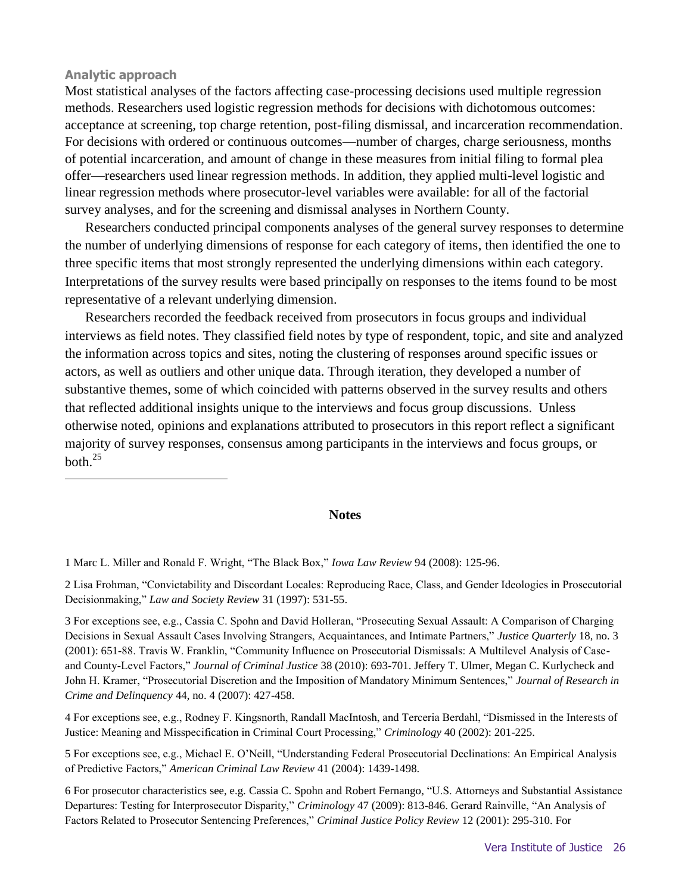and judges; relationships with colleagues within the prosecutor's office; resource constraints and the need for efficiency; and processes that promote adherence to policy and consistency in decision making, such as training, supervision, mentoring, and informal communication. The second wave focused primarily on case-specific factors that influence decision making: strength of evidence, seriousness of the instant offense, defendant's criminal history, and special aggravating or mitigating circumstances. Researchers conducted a total of 10 focus group sessions and seven individual interviews, for which the numbers and roles of participants are listed in Figure 14. These discussions helped frame the quantitative identification of case-level factors that influence the exercise of prosecutors' discretion, explain how those factors exert their influence, and identify contextual factors that constrain or expand discretion.

|                   | <b>Northern County</b>                                                                                  | <b>Southern County</b>                                                                                                                           |
|-------------------|---------------------------------------------------------------------------------------------------------|--------------------------------------------------------------------------------------------------------------------------------------------------|
| <b>Wave 1</b>     |                                                                                                         |                                                                                                                                                  |
| <b>Interviews</b> | District attorney<br>$\bullet$<br>Two deputy DAs<br>$\bullet$<br>Deputy for administration<br>$\bullet$ | District attorney<br>$\bullet$<br>One deputy DA                                                                                                  |
| Focus groups      | Two groups<br>Five team leaders<br>$\bullet$<br>Five ADAs; various crime<br>$\bullet$<br>units          | Three groups<br>Seven team leaders<br>Six ADAs; less than one year<br>$\bullet$<br>experience<br>Eight ADAs; 1-10 years<br>experience            |
| <b>Wave 2</b>     |                                                                                                         |                                                                                                                                                  |
| <b>Interviews</b> | (none)                                                                                                  | District attorney<br>$\bullet$<br>One deputy DA<br>$\bullet$                                                                                     |
| Focus groups      | Two groups<br>Seven team leaders<br>Five ADAs; various crime<br>$\bullet$<br>units                      | Three groups<br>Five team leaders<br>$\bullet$<br>Six ADAs; less than one year<br>$\bullet$<br>experience<br>Five ADAs; 1-10 years<br>experience |

Figure 14: Participants in interviews and focus groups

NOTE: Most of the participants in the Wave 2 focus group sessions had previously participated in the Wave 1 sessions. In Northern County, two team leaders participated in Wave 2 who had not participated in Wave 1.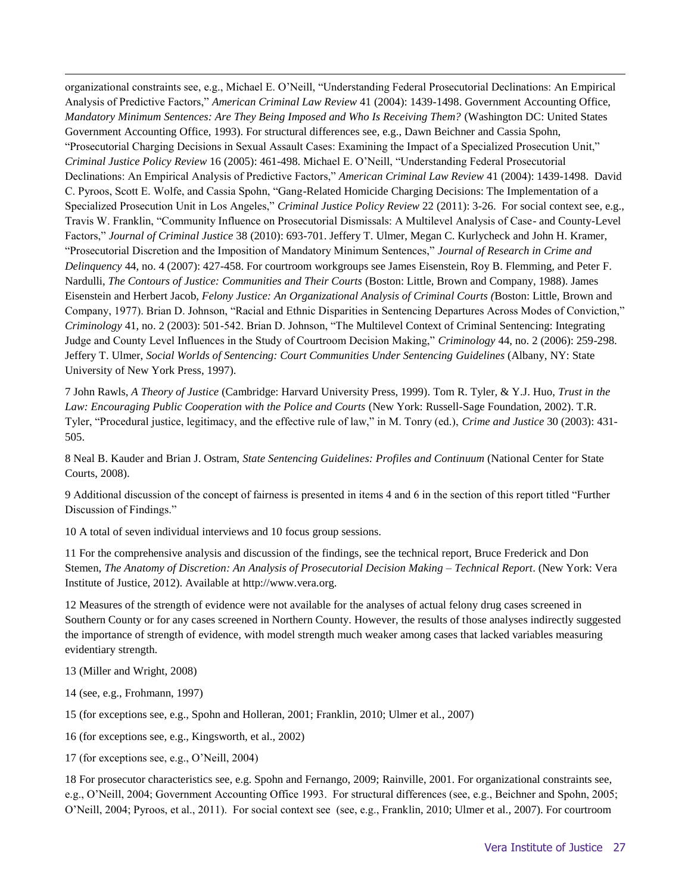#### **Analytic approach**

 $\overline{a}$ 

Most statistical analyses of the factors affecting case-processing decisions used multiple regression methods. Researchers used logistic regression methods for decisions with dichotomous outcomes: acceptance at screening, top charge retention, post-filing dismissal, and incarceration recommendation. For decisions with ordered or continuous outcomes—number of charges, charge seriousness, months of potential incarceration, and amount of change in these measures from initial filing to formal plea offer—researchers used linear regression methods. In addition, they applied multi-level logistic and linear regression methods where prosecutor-level variables were available: for all of the factorial survey analyses, and for the screening and dismissal analyses in Northern County.

Researchers conducted principal components analyses of the general survey responses to determine the number of underlying dimensions of response for each category of items, then identified the one to three specific items that most strongly represented the underlying dimensions within each category. Interpretations of the survey results were based principally on responses to the items found to be most representative of a relevant underlying dimension.

Researchers recorded the feedback received from prosecutors in focus groups and individual interviews as field notes. They classified field notes by type of respondent, topic, and site and analyzed the information across topics and sites, noting the clustering of responses around specific issues or actors, as well as outliers and other unique data. Through iteration, they developed a number of substantive themes, some of which coincided with patterns observed in the survey results and others that reflected additional insights unique to the interviews and focus group discussions. Unless otherwise noted, opinions and explanations attributed to prosecutors in this report reflect a significant majority of survey responses, consensus among participants in the interviews and focus groups, or  $both$ <sup>25</sup>

#### **Notes**

1 Marc L. Miller and Ronald F. Wright, "The Black Box," *Iowa Law Review* 94 (2008): 125-96.

2 Lisa Frohman, "Convictability and Discordant Locales: Reproducing Race, Class, and Gender Ideologies in Prosecutorial Decisionmaking," *Law and Society Review* 31 (1997): 531-55.

3 For exceptions see, e.g., Cassia C. Spohn and David Holleran, "Prosecuting Sexual Assault: A Comparison of Charging Decisions in Sexual Assault Cases Involving Strangers, Acquaintances, and Intimate Partners," *Justice Quarterly* 18, no. 3 (2001): 651-88. Travis W. Franklin, "Community Influence on Prosecutorial Dismissals: A Multilevel Analysis of Caseand County-Level Factors," *Journal of Criminal Justice* 38 (2010): 693-701. Jeffery T. Ulmer, Megan C. Kurlycheck and John H. Kramer, "Prosecutorial Discretion and the Imposition of Mandatory Minimum Sentences," *Journal of Research in Crime and Delinquency* 44, no. 4 (2007): 427-458.

4 For exceptions see, e.g., Rodney F. Kingsnorth, Randall MacIntosh, and Terceria Berdahl, "Dismissed in the Interests of Justice: Meaning and Misspecification in Criminal Court Processing," *Criminology* 40 (2002): 201-225.

5 For exceptions see, e.g., Michael E. O'Neill, "Understanding Federal Prosecutorial Declinations: An Empirical Analysis of Predictive Factors," *American Criminal Law Review* 41 (2004): 1439-1498.

6 For prosecutor characteristics see, e.g. Cassia C. Spohn and Robert Fernango*,* "U.S. Attorneys and Substantial Assistance Departures: Testing for Interprosecutor Disparity," *Criminology* 47 (2009): 813-846. Gerard Rainville, "An Analysis of Factors Related to Prosecutor Sentencing Preferences," *Criminal Justice Policy Review* 12 (2001): 295-310. For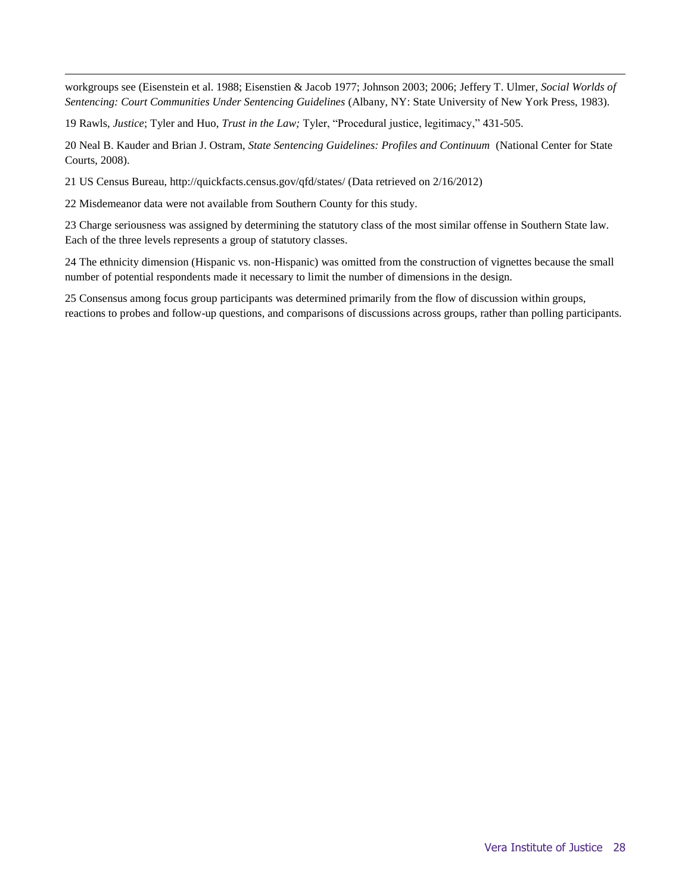$\overline{a}$ organizational constraints see, e.g., Michael E. O'Neill, "Understanding Federal Prosecutorial Declinations: An Empirical Analysis of Predictive Factors," *American Criminal Law Review* 41 (2004): 1439-1498. Government Accounting Office, *Mandatory Minimum Sentences: Are They Being Imposed and Who Is Receiving Them?* (Washington DC: United States Government Accounting Office, 1993). For structural differences see, e.g., Dawn Beichner and Cassia Spohn, "Prosecutorial Charging Decisions in Sexual Assault Cases: Examining the Impact of a Specialized Prosecution Unit," *Criminal Justice Policy Review* 16 (2005): 461-498. Michael E. O'Neill, "Understanding Federal Prosecutorial Declinations: An Empirical Analysis of Predictive Factors," *American Criminal Law Review* 41 (2004): 1439-1498. David C. Pyroos, Scott E. Wolfe, and Cassia Spohn, "Gang-Related Homicide Charging Decisions: The Implementation of a Specialized Prosecution Unit in Los Angeles," *Criminal Justice Policy Review* 22 (2011): 3-26. For social context see, e.g., Travis W. Franklin, "Community Influence on Prosecutorial Dismissals: A Multilevel Analysis of Case- and County-Level Factors," *Journal of Criminal Justice* 38 (2010): 693-701. Jeffery T. Ulmer, Megan C. Kurlycheck and John H. Kramer, "Prosecutorial Discretion and the Imposition of Mandatory Minimum Sentences," *Journal of Research in Crime and Delinquency* 44, no. 4 (2007): 427-458. For courtroom workgroups see James Eisenstein, Roy B. Flemming, and Peter F. Nardulli, *The Contours of Justice: Communities and Their Courts* (Boston: Little, Brown and Company, 1988). James Eisenstein and Herbert Jacob, *Felony Justice: An Organizational Analysis of Criminal Courts (*Boston: Little, Brown and Company, 1977). Brian D. Johnson, "Racial and Ethnic Disparities in Sentencing Departures Across Modes of Conviction," *Criminology* 41, no. 2 (2003): 501-542. Brian D. Johnson, "The Multilevel Context of Criminal Sentencing: Integrating Judge and County Level Influences in the Study of Courtroom Decision Making," *Criminology* 44, no. 2 (2006): 259-298. Jeffery T. Ulmer, *Social Worlds of Sentencing: Court Communities Under Sentencing Guidelines* (Albany, NY: State University of New York Press, 1997).

7 John Rawls, *A Theory of Justice* (Cambridge: Harvard University Press, 1999). Tom R. Tyler, & Y.J. Huo, *Trust in the Law: Encouraging Public Cooperation with the Police and Courts* (New York: Russell-Sage Foundation, 2002). T.R. Tyler, "Procedural justice, legitimacy, and the effective rule of law," in M. Tonry (ed.), *Crime and Justice* 30 (2003): 431- 505.

8 Neal B. Kauder and Brian J. Ostram, *State Sentencing Guidelines: Profiles and Continuum* (National Center for State Courts, 2008).

9 Additional discussion of the concept of fairness is presented in items 4 and 6 in the section of this report titled "Further Discussion of Findings."

10 A total of seven individual interviews and 10 focus group sessions.

11 For the comprehensive analysis and discussion of the findings, see the technical report, Bruce Frederick and Don Stemen, *The Anatomy of Discretion: An Analysis of Prosecutorial Decision Making – Technical Report*. (New York: Vera Institute of Justice, 2012). Available at http://www.vera.org.

12 Measures of the strength of evidence were not available for the analyses of actual felony drug cases screened in Southern County or for any cases screened in Northern County. However, the results of those analyses indirectly suggested the importance of strength of evidence, with model strength much weaker among cases that lacked variables measuring evidentiary strength.

- 13 (Miller and Wright, 2008)
- 14 (see, e.g., Frohmann, 1997)
- 15 (for exceptions see, e.g., Spohn and Holleran, 2001; Franklin, 2010; Ulmer et al., 2007)
- 16 (for exceptions see, e.g., Kingsworth, et al., 2002)
- 17 (for exceptions see, e.g., O'Neill, 2004)

18 For prosecutor characteristics see, e.g. Spohn and Fernango, 2009; Rainville, 2001. For organizational constraints see, e.g., O'Neill, 2004; Government Accounting Office 1993. For structural differences (see, e.g., Beichner and Spohn, 2005; O'Neill, 2004; Pyroos, et al., 2011). For social context see (see, e.g., Franklin, 2010; Ulmer et al., 2007). For courtroom